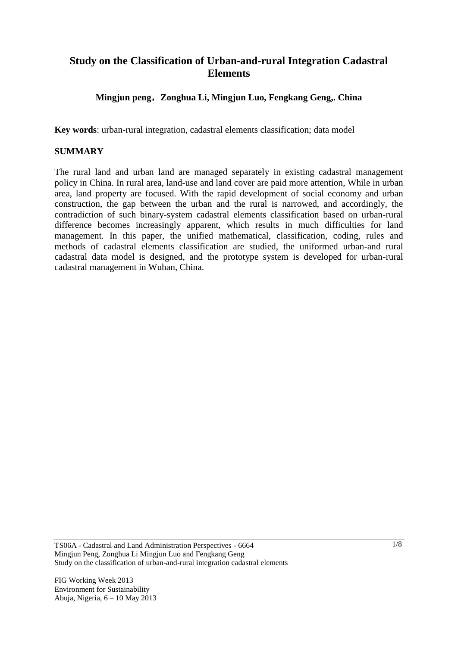# **Study on the Classification of Urban-and-rural Integration Cadastral Elements**

### **Mingjun peng**,**Zonghua Li, Mingjun Luo, Fengkang Geng,. China**

**Key words**: urban-rural integration, cadastral elements classification; data model

#### **SUMMARY**

The rural land and urban land are managed separately in existing cadastral management policy in China. In rural area, land-use and land cover are paid more attention, While in urban area, land property are focused. With the rapid development of social economy and urban construction, the gap between the urban and the rural is narrowed, and accordingly, the contradiction of such binary-system cadastral elements classification based on urban-rural difference becomes increasingly apparent, which results in much difficulties for land management. In this paper, the unified mathematical, classification, coding, rules and methods of cadastral elements classification are studied, the uniformed urban-and rural cadastral data model is designed, and the prototype system is developed for urban-rural cadastral management in Wuhan, China.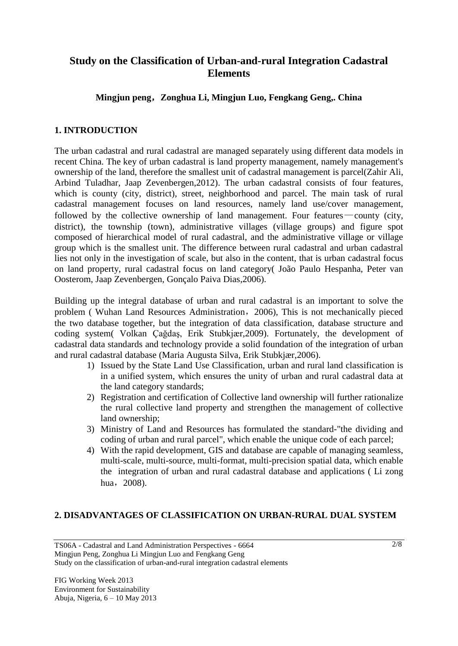## **Study on the Classification of Urban-and-rural Integration Cadastral Elements**

### **Mingjun peng**,**Zonghua Li, Mingjun Luo, Fengkang Geng,. China**

#### **1. INTRODUCTION**

The urban cadastral and rural cadastral are managed separately using different data models in recent China. The key of urban cadastral is land property management, namely management's ownership of the land, therefore the smallest unit of cadastral management is parcel(Zahir Ali, Arbind Tuladhar, Jaap Zevenbergen,2012). The urban cadastral consists of four features, which is county (city, district), street, neighborhood and parcel. The main task of rural cadastral management focuses on land resources, namely land use/cover management, followed by the collective ownership of land management. Four features—county (city, district), the township (town), administrative villages (village groups) and figure spot composed of hierarchical model of rural cadastral, and the administrative village or village group which is the smallest unit. The difference between rural cadastral and urban cadastral lies not only in the investigation of scale, but also in the content, that is urban cadastral focus on land property, rural cadastral focus on land category( João Paulo Hespanha, Peter van Oosterom, Jaap Zevenbergen, Gonçalo Paiva Dias,2006).

Building up the integral database of urban and rural cadastral is an important to solve the problem ( Wuhan Land Resources Administration,2006), This is not mechanically pieced the two database together, but the integration of data classification, database structure and coding system( Volkan Çağdaş, Erik Stubkjær,2009). Fortunately, the development of cadastral data standards and technology provide a solid foundation of the integration of urban and rural cadastral database (Maria Augusta Silva, Erik Stubkjær,2006).

- 1) Issued by the State Land Use Classification, urban and rural land classification is in a unified system, which ensures the unity of urban and rural cadastral data at the land category standards;
- 2) Registration and certification of Collective land ownership will further rationalize the rural collective land property and strengthen the management of collective land ownership;
- 3) Ministry of Land and Resources has formulated the standard-"the dividing and coding of urban and rural parcel", which enable the unique code of each parcel;
- 4) With the rapid development, GIS and database are capable of managing seamless, multi-scale, multi-source, multi-format, multi-precision spatial data, which enable the integration of urban and rural cadastral database and applications ( Li zong hua, 2008).

#### **2. DISADVANTAGES OF CLASSIFICATION ON URBAN-RURAL DUAL SYSTEM**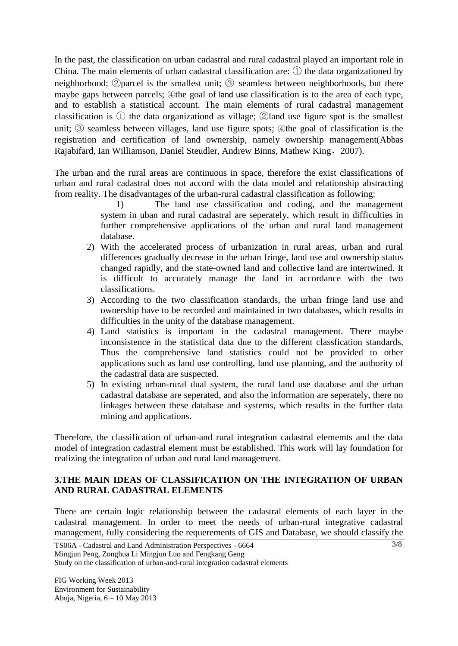In the past, the classification on urban cadastral and rural cadastral played an important role in China. The main elements of urban cadastral classification are: ① the data organizationed by neighborhood; ②parcel is the smallest unit; ③ seamless between neighborhoods, but there maybe gaps between parcels;  $\oplus$ the goal of land use classification is to the area of each type, and to establish a statistical account. The main elements of rural cadastral management classification is ① the data organizationd as village; ②land use figure spot is the smallest unit; ③ seamless between villages, land use figure spots; ④the goal of classification is the registration and certification of land ownership, namely ownership management(Abbas Rajabifard, Ian Williamson, Daniel Steudler, Andrew Binns, Mathew King,2007).

The urban and the rural areas are continuous in space, therefore the exist classifications of urban and rural cadastral does not accord with the data model and relationship abstracting from reality. The disadvantages of the urban-rural cadastral classification as following:

1) The land use classification and coding, and the management system in uban and rural cadastral are seperately, which result in difficulties in further comprehensive applications of the urban and rural land management database.

- 2) With the accelerated process of urbanization in rural areas, urban and rural differences gradually decrease in the urban fringe, land use and ownership status changed rapidly, and the state-owned land and collective land are intertwined. It is difficult to accurately manage the land in accordance with the two classifications.
- 3) According to the two classification standards, the urban fringe land use and ownership have to be recorded and maintained in two databases, which results in difficulties in the unity of the database management.
- 4) Land statistics is important in the cadastral management. There maybe inconsistence in the statistical data due to the different classfication standards, Thus the comprehensive land statistics could not be provided to other applications such as land use controlling, land use planning, and the authority of the cadastral data are suspected.
- 5) In existing urban-rural dual system, the rural land use database and the urban cadastral database are seperated, and also the information are seperately, there no linkages between these database and systems, which results in the further data mining and applications.

Therefore, the classification of urban-and rural integration cadastral elememts and the data model of integration cadastral element must be established. This work will lay foundation for realizing the integration of urban and rural land management.

#### **3.THE MAIN IDEAS OF CLASSIFICATION ON THE INTEGRATION OF URBAN AND RURAL CADASTRAL ELEMENTS**

There are certain logic relationship between the cadastral elements of each layer in the cadastral management. In order to meet the needs of urban-rural integrative cadastral management, fully considering the requerements of GIS and Database, we should classify the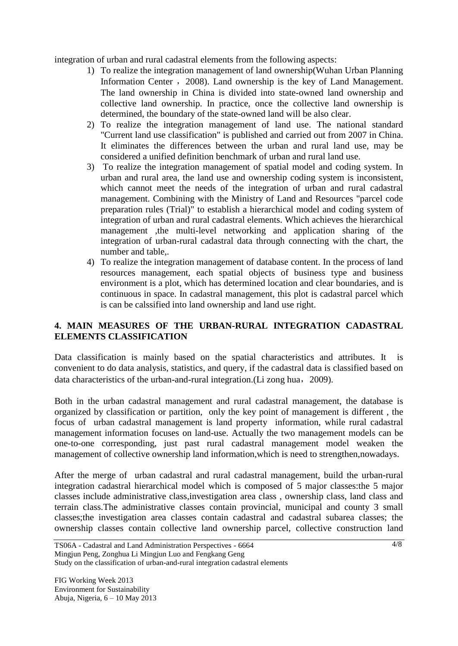integration of urban and rural cadastral elements from the following aspects:

- 1) To realize the integration management of land ownership(Wuhan Urban Planning Information Center, 2008). Land ownership is the key of Land Management. The land ownership in China is divided into state-owned land ownership and collective land ownership. In practice, once the collective land ownership is determined, the boundary of the state-owned land will be also clear.
- 2) To realize the integration management of land use. The national standard "Current land use classification" is published and carried out from 2007 in China. It eliminates the differences between the urban and rural land use, may be considered a unified definition benchmark of urban and rural land use.
- 3) To realize the integration management of spatial model and coding system. In urban and rural area, the land use and ownership coding system is inconsistent, which cannot meet the needs of the integration of urban and rural cadastral management. Combining with the Ministry of Land and Resources "parcel code preparation rules (Trial)" to establish a hierarchical model and coding system of integration of urban and rural cadastral elements. Which achieves the hierarchical management ,the multi-level networking and application sharing of the integration of urban-rural cadastral data through connecting with the chart, the number and table..
- 4) To realize the integration management of database content. In the process of land resources management, each spatial objects of business type and business environment is a plot, which has determined location and clear boundaries, and is continuous in space. In cadastral management, this plot is cadastral parcel which is can be calssified into land ownership and land use right.

#### **4. MAIN MEASURES OF THE URBAN-RURAL INTEGRATION CADASTRAL ELEMENTS CLASSIFICATION**

Data classification is mainly based on the spatial characteristics and attributes. It is convenient to do data analysis, statistics, and query, if the cadastral data is classified based on data characteristics of the urban-and-rural integration. (Li zong hua, 2009).

Both in the urban cadastral management and rural cadastral management, the database is organized by classification or partition, only the key point of management is different , the focus of urban cadastral management is land property information, while rural cadastral management information focuses on land-use. Actually the two management models can be one-to-one corresponding, just past rural cadastral management model weaken the management of collective ownership land information,which is need to strengthen,nowadays.

After the merge of urban cadastral and rural cadastral management, build the urban-rural integration cadastral hierarchical model which is composed of 5 major classes:the 5 major classes include administrative class,investigation area class , ownership class, land class and terrain class.The administrative classes contain provincial, municipal and county 3 small classes;the investigation area classes contain cadastral and cadastral subarea classes; the ownership classes contain collective land ownership parcel, collective construction land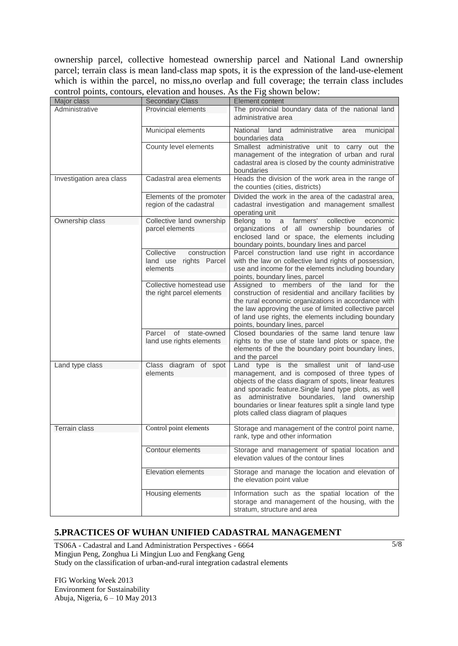ownership parcel, collective homestead ownership parcel and National Land ownership parcel; terrain class is mean land-class map spots, it is the expression of the land-use-element which is within the parcel, no miss, no overlap and full coverage; the terrain class includes control points, contours, elevation and houses. As the Fig shown below:

| Major class              | <b>Secondary Class</b>                                           | <b>Element content</b>                                                                                                                                                                                                                                                                                                                                               |
|--------------------------|------------------------------------------------------------------|----------------------------------------------------------------------------------------------------------------------------------------------------------------------------------------------------------------------------------------------------------------------------------------------------------------------------------------------------------------------|
| Administrative           | Provincial elements                                              | The provincial boundary data of the national land<br>administrative area                                                                                                                                                                                                                                                                                             |
|                          | Municipal elements                                               | National<br>land<br>administrative<br>municipal<br>area<br>boundaries data                                                                                                                                                                                                                                                                                           |
|                          | County level elements                                            | Smallest administrative unit to carry out the<br>management of the integration of urban and rural<br>cadastral area is closed by the county administrative<br>boundaries                                                                                                                                                                                             |
| Investigation area class | Cadastral area elements                                          | Heads the division of the work area in the range of<br>the counties (cities, districts)                                                                                                                                                                                                                                                                              |
|                          | Elements of the promoter<br>region of the cadastral              | Divided the work in the area of the cadastral area,<br>cadastral investigation and management smallest<br>operating unit                                                                                                                                                                                                                                             |
| Ownership class          | Collective land ownership<br>parcel elements                     | Belong<br>collective<br>to<br>farmers'<br>economic<br>a<br>organizations of all ownership boundaries of<br>enclosed land or space, the elements including<br>boundary points, boundary lines and parcel                                                                                                                                                              |
|                          | Collective<br>construction<br>land use rights Parcel<br>elements | Parcel construction land use right in accordance<br>with the law on collective land rights of possession,<br>use and income for the elements including boundary<br>points, boundary lines, parcel                                                                                                                                                                    |
|                          | Collective homestead use<br>the right parcel elements            | Assigned to members of the land for<br>the<br>construction of residential and ancillary facilities by<br>the rural economic organizations in accordance with<br>the law approving the use of limited collective parcel<br>of land use rights, the elements including boundary<br>points, boundary lines, parcel                                                      |
|                          | Parcel of state-owned<br>land use rights elements                | Closed boundaries of the same land tenure law<br>rights to the use of state land plots or space, the<br>elements of the the boundary point boundary lines,<br>and the parcel                                                                                                                                                                                         |
| Land type class          | Class diagram of spot<br>elements                                | Land type is the smallest unit of land-use<br>management, and is composed of three types of<br>objects of the class diagram of spots, linear features<br>and sporadic feature. Single land type plots, as well<br>administrative boundaries, land ownership<br>as<br>boundaries or linear features split a single land type<br>plots called class diagram of plaques |
| <b>Terrain class</b>     | Control point elements                                           | Storage and management of the control point name,<br>rank, type and other information                                                                                                                                                                                                                                                                                |
|                          | Contour elements                                                 | Storage and management of spatial location and<br>elevation values of the contour lines                                                                                                                                                                                                                                                                              |
|                          | <b>Elevation elements</b>                                        | Storage and manage the location and elevation of<br>the elevation point value                                                                                                                                                                                                                                                                                        |
|                          | Housing elements                                                 | Information such as the spatial location of the<br>storage and management of the housing, with the<br>stratum, structure and area                                                                                                                                                                                                                                    |

## **5.PRACTICES OF WUHAN UNIFIED CADASTRAL MANAGEMENT**

TS06A - Cadastral and Land Administration Perspectives - 6664 Mingjun Peng, Zonghua Li Mingjun Luo and Fengkang Geng Study on the classification of urban-and-rural integration cadastral elements

FIG Working Week 2013 Environment for Sustainability Abuja, Nigeria, 6 – 10 May 2013 5/8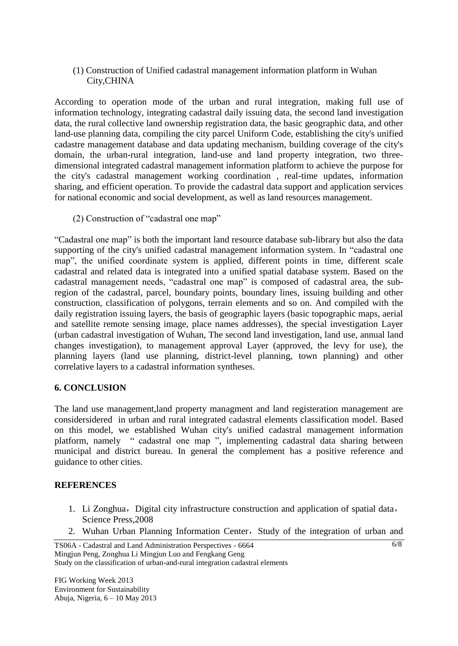(1) Construction of Unified cadastral management information platform in Wuhan City,CHINA

According to operation mode of the urban and rural integration, making full use of information technology, integrating cadastral daily issuing data, the second land investigation data, the rural collective land ownership registration data, the basic geographic data, and other land-use planning data, compiling the city parcel Uniform Code, establishing the city's unified cadastre management database and data updating mechanism, building coverage of the city's domain, the urban-rural integration, land-use and land property integration, two threedimensional integrated cadastral management information platform to achieve the purpose for the city's cadastral management working coordination , real-time updates, information sharing, and efficient operation. To provide the cadastral data support and application services for national economic and social development, as well as land resources management.

(2) Construction of "cadastral one map"

"Cadastral one map" is both the important land resource database sub-library but also the data supporting of the city's unified cadastral management information system. In "cadastral one map", the unified coordinate system is applied, different points in time, different scale cadastral and related data is integrated into a unified spatial database system. Based on the cadastral management needs, "cadastral one map" is composed of cadastral area, the subregion of the cadastral, parcel, boundary points, boundary lines, issuing building and other construction, classification of polygons, terrain elements and so on. And compiled with the daily registration issuing layers, the basis of geographic layers (basic topographic maps, aerial and satellite remote sensing image, place names addresses), the special investigation Layer (urban cadastral investigation of Wuhan, The second land investigation, land use, annual land changes investigation), to management approval Layer (approved, the levy for use), the planning layers (land use planning, district-level planning, town planning) and other correlative layers to a cadastral information syntheses.

#### **6. CONCLUSION**

The land use management,land property managment and land registeration management are considersidered in urban and rural integrated cadastral elements classification model. Based on this model, we established Wuhan city's unified cadastral management information platform, namely " cadastral one map ", implementing cadastral data sharing between municipal and district bureau. In general the complement has a positive reference and guidance to other cities.

#### **REFERENCES**

- 1. Li Zonghua, Digital city infrastructure construction and application of spatial data, Science Press,2008
- 2. Wuhan Urban Planning Information Center, Study of the integration of urban and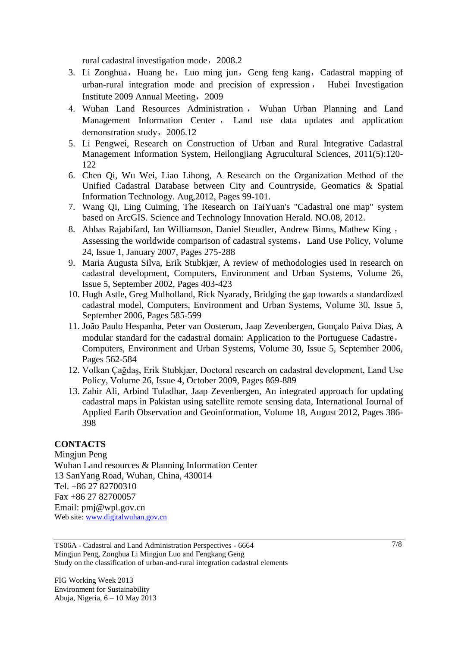rural cadastral investigation mode, 2008.2

- 3. Li Zonghua, Huang he, Luo ming jun, Geng feng kang, Cadastral mapping of urban-rural integration mode and precision of expression , Hubei Investigation Institute 2009 Annual Meeting,2009
- 4. Wuhan Land Resources Administration , Wuhan Urban Planning and Land Management Information Center , Land use data updates and application demonstration study, 2006.12
- 5. Li Pengwei, Research on Construction of Urban and Rural Integrative Cadastral Management Information System, Heilongjiang Agrucultural Sciences, 2011(5):120- 122
- 6. Chen Qi, Wu Wei, Liao Lihong, A Research on the Organization Method of the Unified Cadastral Database between City and Countryside, Geomatics & Spatial Information Technology. Aug,2012, Pages 99-101.
- 7. Wang Qi, Ling Cuiming, The Research on TaiYuan's "Cadastral one map" system based on ArcGIS. Science and Technology Innovation Herald. NO.08, 2012.
- 8. Abbas Rajabifard, Ian Williamson, Daniel Steudler, Andrew Binns, Mathew King , Assessing the worldwide comparison of cadastral systems, Land Use Policy, Volume 24, Issue 1, January 2007, Pages 275-288
- 9. Maria Augusta Silva, Erik Stubkjær, A review of methodologies used in research on cadastral development, Computers, Environment and Urban Systems, Volume 26, Issue 5, September 2002, Pages 403-423
- 10. Hugh Astle, Greg Mulholland, Rick Nyarady, Bridging the gap towards a standardized cadastral model, Computers, Environment and Urban Systems, Volume 30, Issue 5, September 2006, Pages 585-599
- 11. João Paulo Hespanha, Peter van Oosterom, Jaap Zevenbergen, Gonçalo Paiva Dias, A modular standard for the cadastral domain: Application to the Portuguese Cadastre, Computers, Environment and Urban Systems, Volume 30, Issue 5, September 2006, Pages 562-584
- 12. Volkan Çağdaş, Erik Stubkjær, Doctoral research on cadastral development, Land Use Policy, Volume 26, Issue 4, October 2009, Pages 869-889
- 13. Zahir Ali, Arbind Tuladhar, Jaap Zevenbergen, An integrated approach for updating cadastral maps in Pakistan using satellite remote sensing data, International Journal of Applied Earth Observation and Geoinformation, Volume 18, August 2012, Pages 386- 398

#### **CONTACTS**

Mingjun Peng Wuhan Land resources & Planning Information Center 13 SanYang Road, Wuhan, China, 430014 Tel. +86 27 82700310 Fax +86 27 82700057 Email: pmj@wpl.gov.cn Web site: [www.digitalwuhan.gov.cn](http://www.digitalwuhan.gov.cn/)